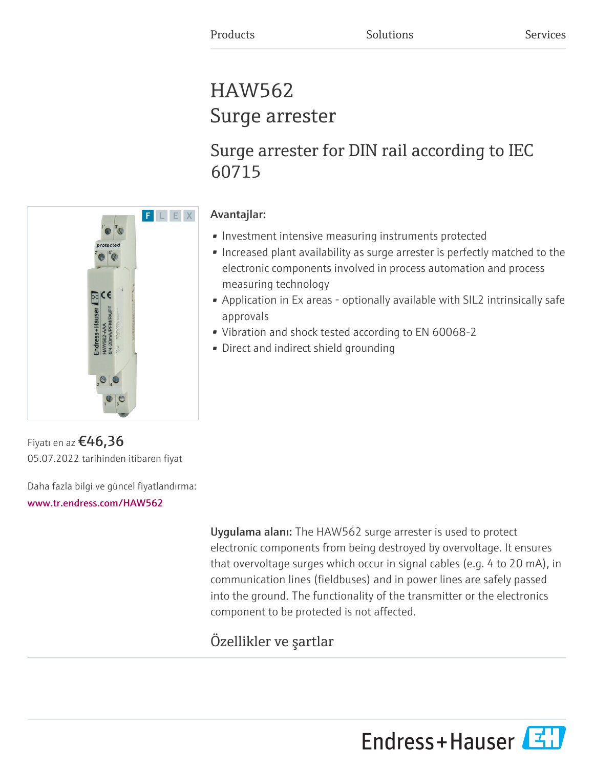# HAW562 Surge arrester

# Surge arrester for DIN rail according to IEC 60715

# F L E X e  $\alpha$  $B$ ce

## Avantajlar:

- Investment intensive measuring instruments protected
- Increased plant availability as surge arrester is perfectly matched to the electronic components involved in process automation and process measuring technology
- Application in Ex areas optionally available with SIL2 intrinsically safe approvals
- Vibration and shock tested according to EN 60068-2
- Direct and indirect shield grounding

Fiyatı en az  $£46,36$ 05.07.2022 tarihinden itibaren fiyat

Daha fazla bilgi ve güncel fiyatlandırma:

#### [www.tr.endress.com/HAW562](https://www.tr.endress.com/HAW562)

Uygulama alanı: The HAW562 surge arrester is used to protect electronic components from being destroyed by overvoltage. It ensures that overvoltage surges which occur in signal cables (e.g. 4 to 20 mA), in communication lines (fieldbuses) and in power lines are safely passed into the ground. The functionality of the transmitter or the electronics component to be protected is not affected.

## Özellikler ve şartlar

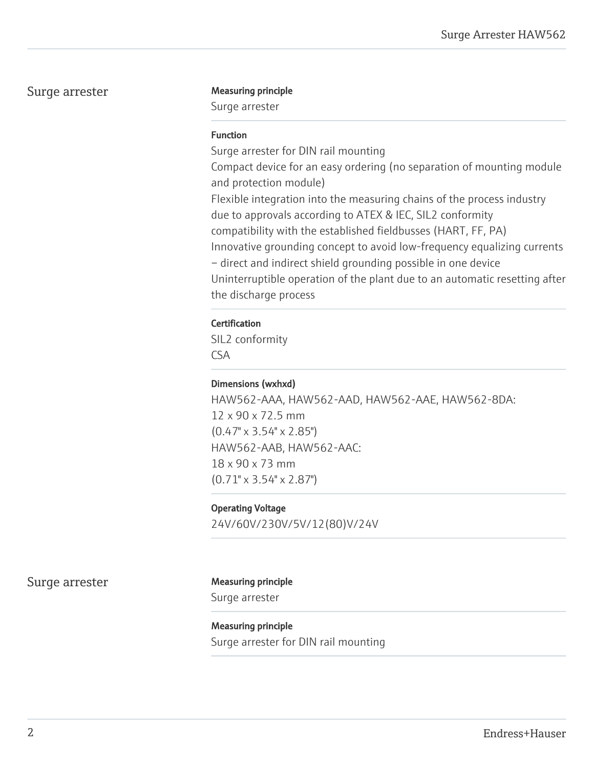#### Surge arrester Measuring principle

Surge arrester

#### Function

Surge arrester for DIN rail mounting Compact device for an easy ordering (no separation of mounting module and protection module) Flexible integration into the measuring chains of the process industry due to approvals according to ATEX & IEC, SIL2 conformity compatibility with the established fieldbusses (HART, FF, PA) Innovative grounding concept to avoid low-frequency equalizing currents – direct and indirect shield grounding possible in one device Uninterruptible operation of the plant due to an automatic resetting after the discharge process

#### **Certification**

SIL2 conformity CSA

#### Dimensions (wxhxd)

HAW562-AAA, HAW562-AAD, HAW562-AAE, HAW562-8DA: 12 x 90 x 72.5 mm (0.47" x 3.54" x 2.85") HAW562-AAB, HAW562-AAC: 18 x 90 x 73 mm (0.71" x 3.54" x 2.87")

#### Operating Voltage

24V/60V/230V/5V/12(80)V/24V

Surge arrester Measuring principle

Surge arrester

Measuring principle Surge arrester for DIN rail mounting